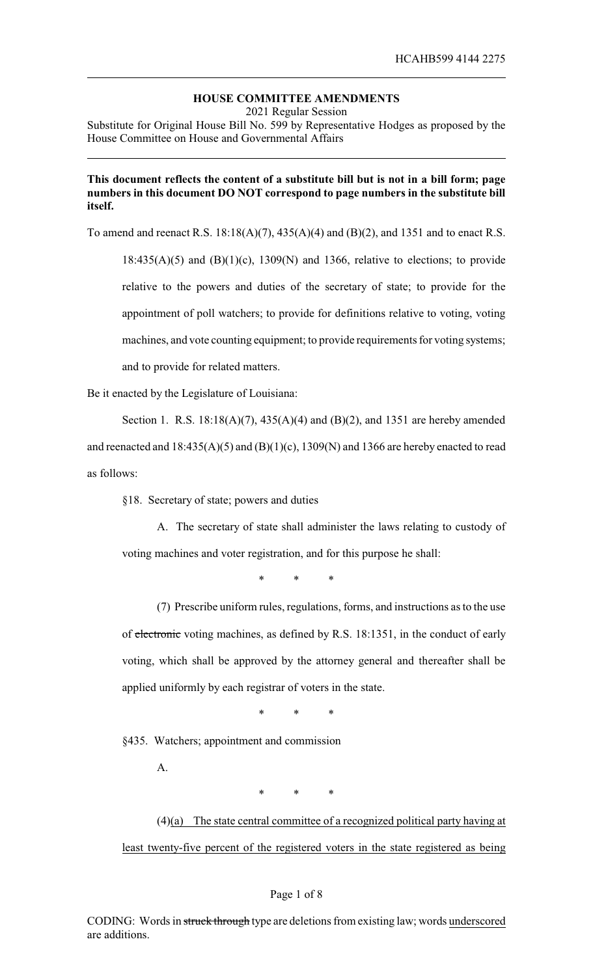# **HOUSE COMMITTEE AMENDMENTS**

2021 Regular Session

Substitute for Original House Bill No. 599 by Representative Hodges as proposed by the House Committee on House and Governmental Affairs

# **This document reflects the content of a substitute bill but is not in a bill form; page numbers in this document DO NOT correspond to page numbers in the substitute bill itself.**

To amend and reenact R.S. 18:18(A)(7), 435(A)(4) and (B)(2), and 1351 and to enact R.S.

 $18:435(A)(5)$  and  $(B)(1)(c)$ ,  $1309(N)$  and 1366, relative to elections; to provide relative to the powers and duties of the secretary of state; to provide for the appointment of poll watchers; to provide for definitions relative to voting, voting machines, and vote counting equipment; to provide requirements for voting systems; and to provide for related matters.

Be it enacted by the Legislature of Louisiana:

Section 1. R.S. 18:18(A)(7), 435(A)(4) and (B)(2), and 1351 are hereby amended and reenacted and  $18:435(A)(5)$  and  $(B)(1)(c)$ ,  $1309(N)$  and  $1366$  are hereby enacted to read as follows:

§18. Secretary of state; powers and duties

A. The secretary of state shall administer the laws relating to custody of voting machines and voter registration, and for this purpose he shall:

\* \* \*

(7) Prescribe uniform rules, regulations, forms, and instructions as to the use of electronic voting machines, as defined by R.S. 18:1351, in the conduct of early voting, which shall be approved by the attorney general and thereafter shall be applied uniformly by each registrar of voters in the state.

\* \* \*

§435. Watchers; appointment and commission

A.

\* \* \*

 $(4)(a)$  The state central committee of a recognized political party having at least twenty-five percent of the registered voters in the state registered as being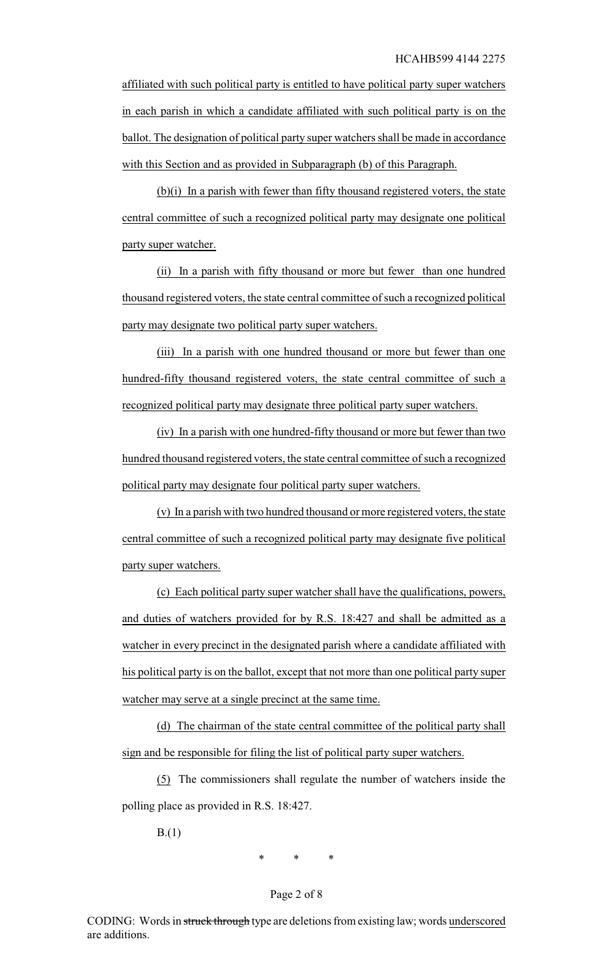affiliated with such political party is entitled to have political party super watchers in each parish in which a candidate affiliated with such political party is on the ballot. The designation of political party super watchers shall be made in accordance with this Section and as provided in Subparagraph (b) of this Paragraph.

(b)(i) In a parish with fewer than fifty thousand registered voters, the state central committee of such a recognized political party may designate one political party super watcher.

(ii) In a parish with fifty thousand or more but fewer than one hundred thousand registered voters, the state central committee of such a recognized political party may designate two political party super watchers.

(iii) In a parish with one hundred thousand or more but fewer than one hundred-fifty thousand registered voters, the state central committee of such a recognized political party may designate three political party super watchers.

(iv) In a parish with one hundred-fifty thousand or more but fewer than two hundred thousand registered voters, the state central committee of such a recognized political party may designate four political party super watchers.

(v) In a parish with two hundred thousand or more registered voters, the state central committee of such a recognized political party may designate five political party super watchers.

(c) Each political party super watcher shall have the qualifications, powers, and duties of watchers provided for by R.S. 18:427 and shall be admitted as a watcher in every precinct in the designated parish where a candidate affiliated with his political party is on the ballot, except that not more than one political party super watcher may serve at a single precinct at the same time.

(d) The chairman of the state central committee of the political party shall sign and be responsible for filing the list of political party super watchers.

(5) The commissioners shall regulate the number of watchers inside the polling place as provided in R.S. 18:427.

B.(1)

\* \* \*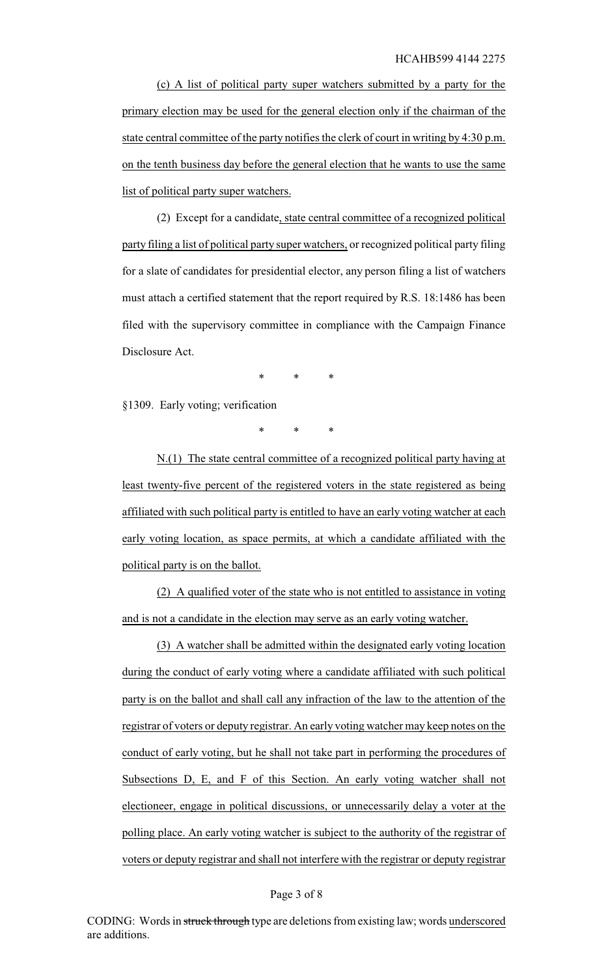(c) A list of political party super watchers submitted by a party for the primary election may be used for the general election only if the chairman of the state central committee of the party notifies the clerk of court in writing by 4:30 p.m. on the tenth business day before the general election that he wants to use the same list of political party super watchers.

(2) Except for a candidate, state central committee of a recognized political party filing a list of political party super watchers, or recognized political party filing for a slate of candidates for presidential elector, any person filing a list of watchers must attach a certified statement that the report required by R.S. 18:1486 has been filed with the supervisory committee in compliance with the Campaign Finance Disclosure Act.

\* \* \*

§1309. Early voting; verification

\* \* \*

N.(1) The state central committee of a recognized political party having at least twenty-five percent of the registered voters in the state registered as being affiliated with such political party is entitled to have an early voting watcher at each early voting location, as space permits, at which a candidate affiliated with the political party is on the ballot.

(2) A qualified voter of the state who is not entitled to assistance in voting and is not a candidate in the election may serve as an early voting watcher.

(3) A watcher shall be admitted within the designated early voting location during the conduct of early voting where a candidate affiliated with such political party is on the ballot and shall call any infraction of the law to the attention of the registrar of voters or deputy registrar. An early voting watcher may keep notes on the conduct of early voting, but he shall not take part in performing the procedures of Subsections D, E, and F of this Section. An early voting watcher shall not electioneer, engage in political discussions, or unnecessarily delay a voter at the polling place. An early voting watcher is subject to the authority of the registrar of voters or deputy registrar and shall not interfere with the registrar or deputy registrar

#### Page 3 of 8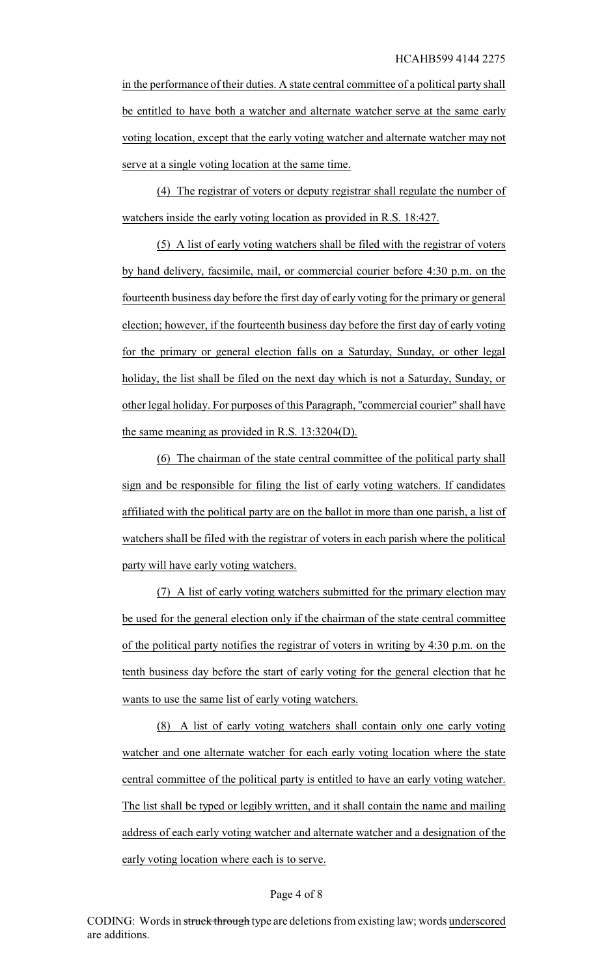in the performance of their duties. A state central committee of a political party shall be entitled to have both a watcher and alternate watcher serve at the same early voting location, except that the early voting watcher and alternate watcher may not serve at a single voting location at the same time.

(4) The registrar of voters or deputy registrar shall regulate the number of watchers inside the early voting location as provided in R.S. 18:427.

(5) A list of early voting watchers shall be filed with the registrar of voters by hand delivery, facsimile, mail, or commercial courier before 4:30 p.m. on the fourteenth business day before the first day of early voting for the primary or general election; however, if the fourteenth business day before the first day of early voting for the primary or general election falls on a Saturday, Sunday, or other legal holiday, the list shall be filed on the next day which is not a Saturday, Sunday, or other legal holiday. For purposes of this Paragraph, "commercial courier" shall have the same meaning as provided in R.S. 13:3204(D).

(6) The chairman of the state central committee of the political party shall sign and be responsible for filing the list of early voting watchers. If candidates affiliated with the political party are on the ballot in more than one parish, a list of watchers shall be filed with the registrar of voters in each parish where the political party will have early voting watchers.

(7) A list of early voting watchers submitted for the primary election may be used for the general election only if the chairman of the state central committee of the political party notifies the registrar of voters in writing by 4:30 p.m. on the tenth business day before the start of early voting for the general election that he wants to use the same list of early voting watchers.

(8) A list of early voting watchers shall contain only one early voting watcher and one alternate watcher for each early voting location where the state central committee of the political party is entitled to have an early voting watcher. The list shall be typed or legibly written, and it shall contain the name and mailing address of each early voting watcher and alternate watcher and a designation of the early voting location where each is to serve.

#### Page 4 of 8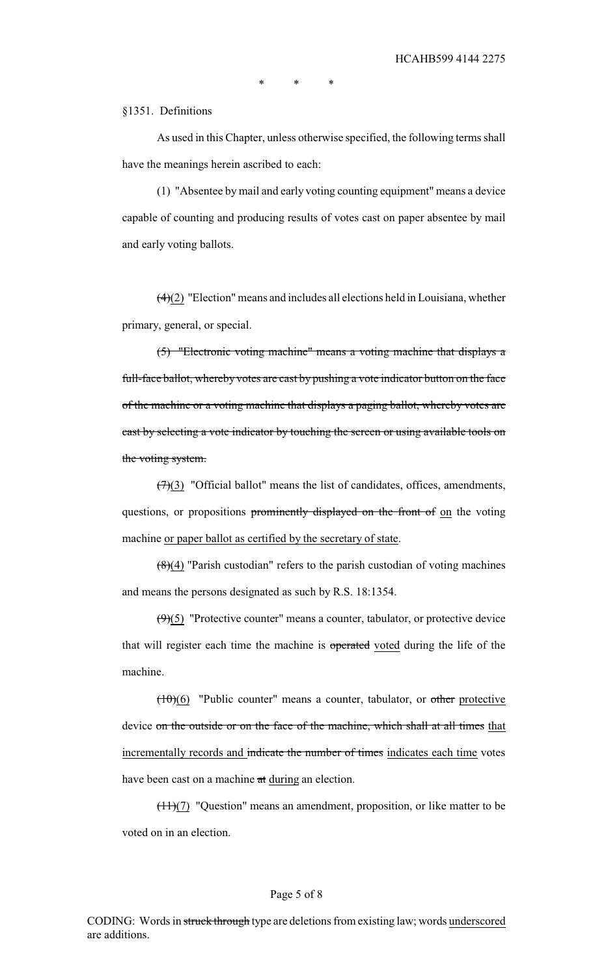\* \* \*

## §1351. Definitions

As used in this Chapter, unless otherwise specified, the following terms shall have the meanings herein ascribed to each:

(1) "Absentee by mail and early voting counting equipment" means a device capable of counting and producing results of votes cast on paper absentee by mail and early voting ballots.

 $(4)(2)$  "Election" means and includes all elections held in Louisiana, whether primary, general, or special.

(5) "Electronic voting machine" means a voting machine that displays a full-face ballot, whereby votes are cast by pushing a vote indicator button on the face of the machine or a voting machine that displays a paging ballot, whereby votes are cast by selecting a vote indicator by touching the screen or using available tools on the voting system.

 $(7)(3)$  "Official ballot" means the list of candidates, offices, amendments, questions, or propositions prominently displayed on the front of on the voting machine or paper ballot as certified by the secretary of state.

 $\left(\frac{8}{4}\right)$  "Parish custodian" refers to the parish custodian of voting machines and means the persons designated as such by R.S. 18:1354.

 $(9)(5)$  "Protective counter" means a counter, tabulator, or protective device that will register each time the machine is operated voted during the life of the machine.

 $(10)(6)$  "Public counter" means a counter, tabulator, or other protective device on the outside or on the face of the machine, which shall at all times that incrementally records and indicate the number of times indicates each time votes have been cast on a machine at during an election.

 $(11)(7)$  "Question" means an amendment, proposition, or like matter to be voted on in an election.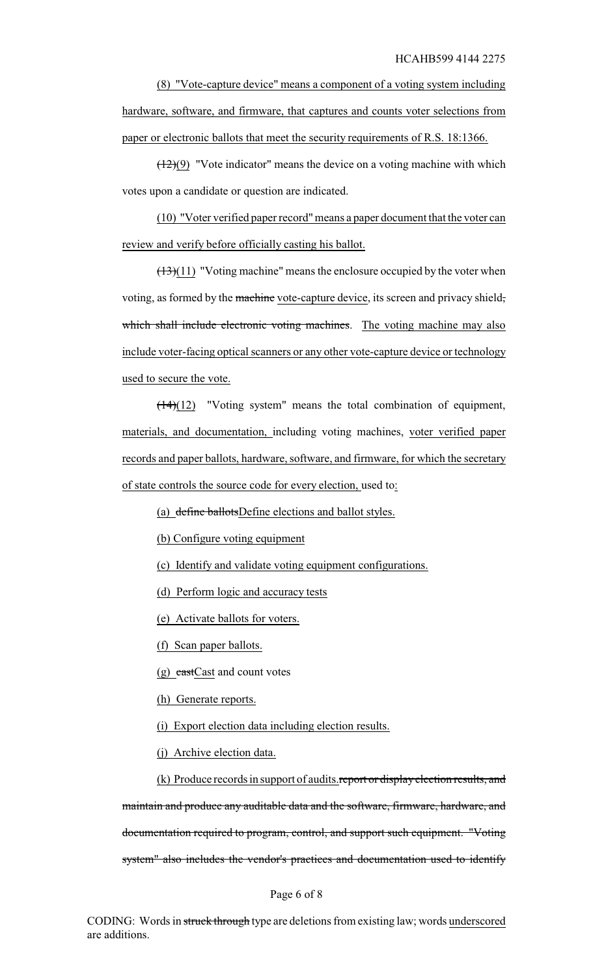(8) "Vote-capture device" means a component of a voting system including hardware, software, and firmware, that captures and counts voter selections from paper or electronic ballots that meet the security requirements of R.S. 18:1366.

 $(12)(9)$  "Vote indicator" means the device on a voting machine with which votes upon a candidate or question are indicated.

(10) "Voter verified paper record"means a paper document that the voter can review and verify before officially casting his ballot.

 $(13)(11)$  "Voting machine" means the enclosure occupied by the voter when voting, as formed by the machine vote-capture device, its screen and privacy shield, which shall include electronic voting machines. The voting machine may also include voter-facing optical scanners or any other vote-capture device or technology used to secure the vote.

 $(14)(12)$  "Voting system" means the total combination of equipment, materials, and documentation, including voting machines, voter verified paper records and paper ballots, hardware, software, and firmware, for which the secretary of state controls the source code for every election, used to:

(a) define ballotsDefine elections and ballot styles.

(b) Configure voting equipment

(c) Identify and validate voting equipment configurations.

(d) Perform logic and accuracy tests

(e) Activate ballots for voters.

(f) Scan paper ballots.

(g) castCast and count votes

(h) Generate reports.

(i) Export election data including election results.

(j) Archive election data.

(k) Produce records in support of audits.report or display election results, and maintain and produce any auditable data and the software, firmware, hardware, and documentation required to program, control, and support such equipment. "Voting system" also includes the vendor's practices and documentation used to identify

### Page 6 of 8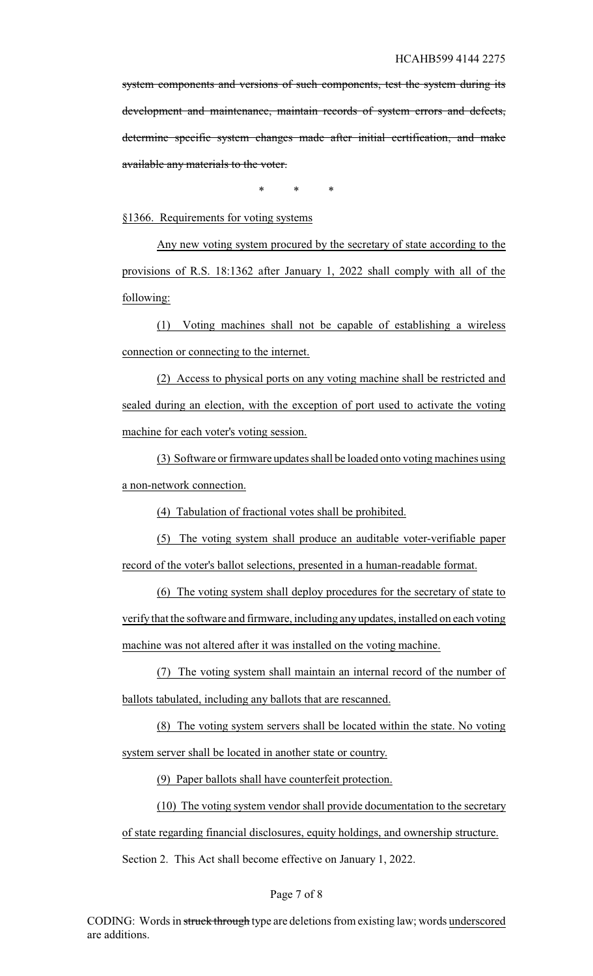system components and versions of such components, test the system during its development and maintenance, maintain records of system errors and defects, determine specific system changes made after initial certification, and make available any materials to the voter.

\* \* \*

§1366. Requirements for voting systems

Any new voting system procured by the secretary of state according to the provisions of R.S. 18:1362 after January 1, 2022 shall comply with all of the following:

(1) Voting machines shall not be capable of establishing a wireless connection or connecting to the internet.

(2) Access to physical ports on any voting machine shall be restricted and sealed during an election, with the exception of port used to activate the voting machine for each voter's voting session.

(3) Software or firmware updates shall be loaded onto voting machines using a non-network connection.

(4) Tabulation of fractional votes shall be prohibited.

(5) The voting system shall produce an auditable voter-verifiable paper record of the voter's ballot selections, presented in a human-readable format.

(6) The voting system shall deploy procedures for the secretary of state to verifythat the software and firmware, including any updates, installed on each voting machine was not altered after it was installed on the voting machine.

(7) The voting system shall maintain an internal record of the number of ballots tabulated, including any ballots that are rescanned.

(8) The voting system servers shall be located within the state. No voting system server shall be located in another state or country.

(9) Paper ballots shall have counterfeit protection.

(10) The voting system vendor shall provide documentation to the secretary of state regarding financial disclosures, equity holdings, and ownership structure.

Section 2. This Act shall become effective on January 1, 2022.

### Page 7 of 8

CODING: Words in struck through type are deletions from existing law; words underscored are additions.